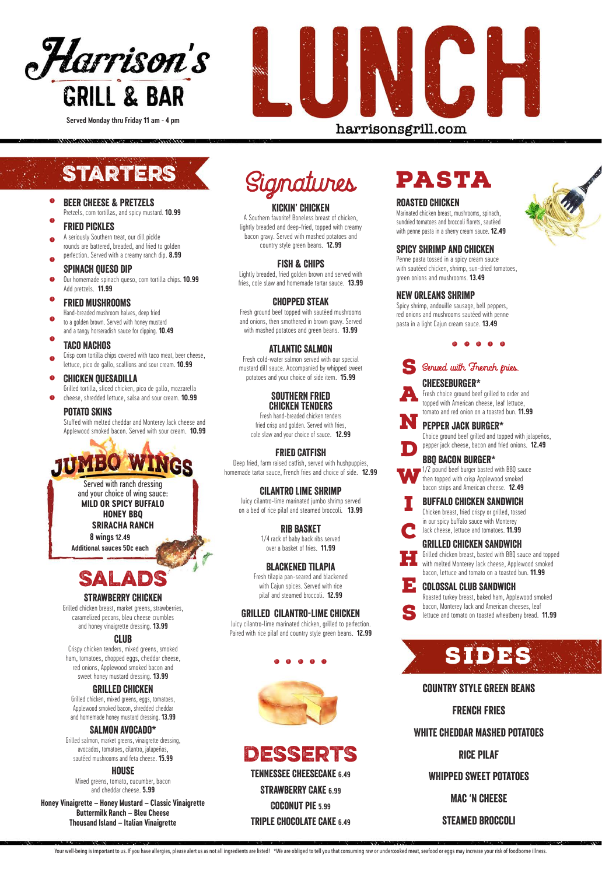#### Fried Pickles

#### Spinach Queso Dip

# Taco Nachos

#### Potato Skins

Stuffed with melted cheddar and Monterey Jack cheese and Applewood smoked bacon. Served with sour cream. **10.99**



**Honey Vinaigrette – Honey Mustard – Classic Vinaigrette Buttermilk Ranch – Bleu Cheese Thousand Island – Italian Vinaigrette**





#### Strawberry Chicken

Grilled chicken breast, market greens, strawberries, caramelized pecans, bleu cheese crumbles and honey vinaigrette dressing. **13.99**

#### Club

Crispy chicken tenders, mixed greens, smoked ham, tomatoes, chopped eggs, cheddar cheese, red onions, Applewood smoked bacon and sweet honey mustard dressing. **13.99**

#### Grilled Chicken

Grilled chicken, mixed greens, eggs, tomatoes, Applewood smoked bacon, shredded cheddar and homemade honey mustard dressing. **13.99**

#### SALMON AVOCADO\*

Grilled salmon, market greens, vinaigrette dressing, avocados, tomatoes, cilantro, jalapeños, sautéed mushrooms and feta cheese. **15.99** 

#### House

Mixed greens, tomato, cucumber, bacon and cheddar cheese. **5.99**



#### Kickin' Chicken

A Southern favorite! Boneless breast of chicken, lightly breaded and deep-fried, topped with creamy bacon gravy. Served with mashed potatoes and country style green beans. **12.99**

#### Fish & Chips

Lightly breaded, fried golden brown and served with fries, cole slaw and homemade tartar sauce. **13.99**

# Chopped steak

Beer Cheese & Pretzels Pretzels, corn tortillas, and spicy mustard. **10.99** . .

> Fresh ground beef topped with sautéed mushrooms and onions, then smothered in brown gravy. Served with mashed potatoes and green beans. **13.99**

A seriously Southern treat, our dill pickle rounds are battered, breaded, and fried to golden perfection. Served with a creamy ranch dip. **8.99** . .

#### Atlantic Salmon

Our homemade spinach queso, corn tortilla chips. **10.99** Add pretzels. **11.99** .

#### Fried Mushrooms .

Fresh cold-water salmon served with our special mustard dill sauce. Accompanied by whipped sweet potatoes and your choice of side item. **15.99**

Hand-breaded mushroom halves, deep fried to a golden brown. Served with honey mustard .

and a tangy horseradish sauce for dipping. **10.49** .

Crisp corn tortilla chips covered with taco meat, beer cheese, lettuce, pico de gallo, scallions and sour cream. **10.99** .

#### Southern Fried Chicken Tenders

#### Chicken Quesadilla .

Grilled tortilla, sliced chicken, pico de gallo, mozzarella cheese, shredded lettuce, salsa and sour cream. **10.99** .

> Fresh hand-breaded chicken tenders fried crisp and golden. Served with fries, cole slaw and your choice of sauce. **12.99**

#### FRIED Catfish

Deep fried, farm raised catfish, served with hushpuppies, homemade tartar sauce, French fries and choice of side. **12.99**

#### Cilantro Lime Shrimp

Juicy cilantro-lime marinated jumbo shrimp served on a bed of rice pilaf and steamed broccoli. **13.99**

#### Rib Basket

1/4 rack of baby back ribs served over a basket of fries. **11.99**

#### Blackened Tilapia

Fresh tilapia pan-seared and blackened with Cajun spices. Served with rice pilaf and steamed broccoli. **12.99**

#### Grilled Cilantro-Lime Chicken

Juicy cilantro-lime marinated chicken, grilled to perfection. Paired with rice pilaf and country style green beans. **12.99**

. . . . .

## Cheeseburger\*

pepper jack cheese, bacon and fried onions. **12.49**

## BBQ bacon burger\*

1/2 pound beef burger basted with BBQ sauce then topped with crisp Applewood smoked bacon strips and American cheese. **12.49 W** 

#### Buffalo Chicken Sandwich





#### Grilled Chicken Sandwich

#### Pepper jack BURGER\* N





Roasted turkey breast, baked ham, Applewood smoked bacon, Monterey Jack and American cheeses, leaf



#### Colossal Club Sandwich E

# Desserts

Tennessee Cheesecake **6.49**

Strawberry Cake **6.99** 

lettuce and tomato on toasted wheatberry bread. **11.99** S

Coconut pie **5.99**

Triple Chocolate cake **6.49**

# pasta

#### Roasted Chicken

Marinated chicken breast, mushrooms, spinach, sundried tomatoes and broccoli florets, sautéed with penne pasta in a sherry cream sauce. **12.49**

#### Spicy Shrimp and Chicken

Penne pasta tossed in a spicy cream sauce with sautéed chicken, shrimp, sun-dried tomatoes, green onions and mushrooms. **13.49**

#### New Orleans SHRIMP

Spicy shrimp, andouille sausage, bell peppers, red onions and mushrooms sautéed with penne pasta in a light Cajun cream sauce. **13.49**

 $\mathbf{d}\mathbf{b}$   $\mathbf{d}\mathbf{b}$   $\mathbf{d}\mathbf{b}$ 



**Served Monday thru Friday 11 am - 4 pm**

# harrisonsgrill.com

# **STARTERS**

#### country style green beans

## French Fries

# White cheddar mashed potatoes

Rice Pilaf

# Whipped sweet potatoes

Mac 'n cheese

steamed broccoli

Your well-being is important to us. If you have allergies, please alert us as not all ingredients are listed! \*We are obliged to tell you that consuming raw or undercooked meat, seafood or eggs may increase your risk of fo



**8 wings12.49**

**Additional sauces 50¢ each**

Served with ranch dressing and your choice of wing sauce: **MILD OR SPICY BUFFALO HONEY BBQ**

**SRIRACHA RANCH**